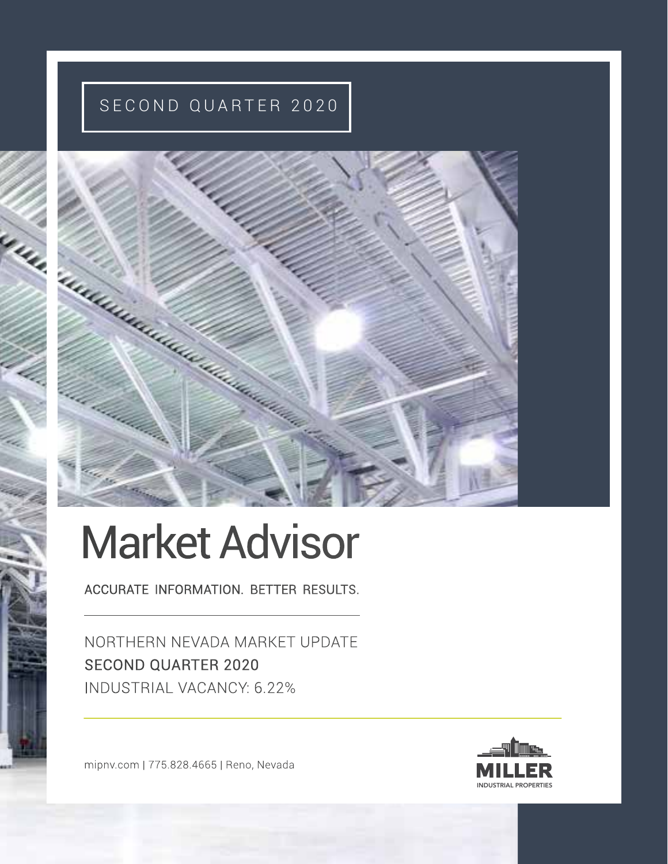# SECOND QUARTER 2020



# Market Advisor

ACCURATE INFORMATION. BETTER RESULTS.

NORTHERN NEVADA MARKET UPDATE SECOND QUARTER 2020 INDUSTRIAL VACANCY: 6.22%

mipnv.com | 775.828.4665 | Reno, Nevada

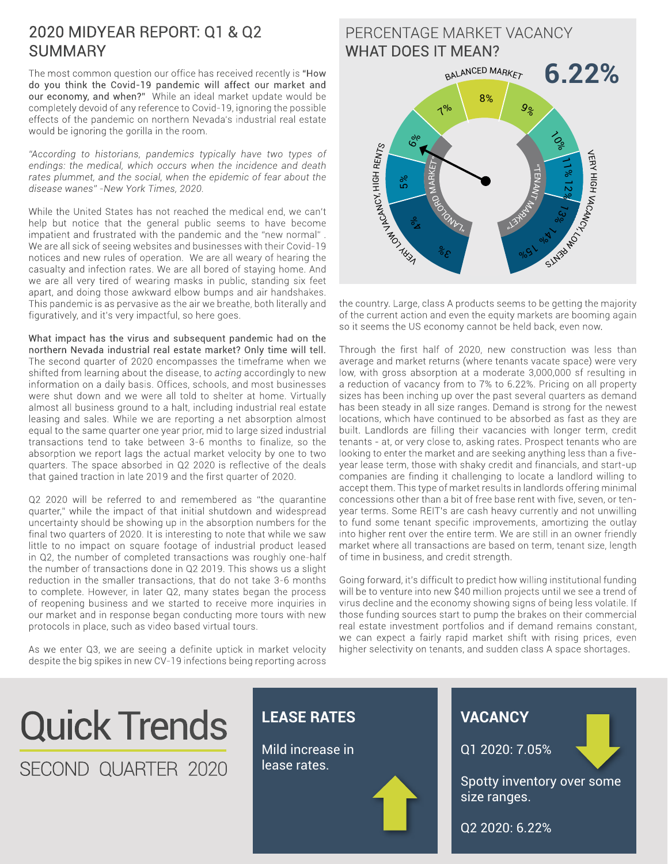#### 2020 MIDYEAR REPORT: Q1 & Q2 SUMMARY

The most common question our office has received recently is "How do you think the Covid-19 pandemic will affect our market and our economy, and when?" While an ideal market update would be completely devoid of any reference to Covid-19, ignoring the possible effects of the pandemic on northern Nevada's industrial real estate would be ignoring the gorilla in the room.

*"According to historians, pandemics typically have two types of endings: the medical, which occurs when the incidence and death rates plummet, and the social, when the epidemic of fear about the disease wanes" -New York Times, 2020.*

While the United States has not reached the medical end, we can't help but notice that the general public seems to have become impatient and frustrated with the pandemic and the "new normal" . We are all sick of seeing websites and businesses with their Covid-19 notices and new rules of operation. We are all weary of hearing the casualty and infection rates. We are all bored of staying home. And we are all very tired of wearing masks in public, standing six feet apart, and doing those awkward elbow bumps and air handshakes. This pandemic is as pervasive as the air we breathe, both literally and figuratively, and it's very impactful, so here goes.

What impact has the virus and subsequent pandemic had on the northern Nevada industrial real estate market? Only time will tell. The second quarter of 2020 encompasses the timeframe when we shifted from learning about the disease, to *acting* accordingly to new information on a daily basis. Offices, schools, and most businesses were shut down and we were all told to shelter at home. Virtually almost all business ground to a halt, including industrial real estate leasing and sales. While we are reporting a net absorption almost equal to the same quarter one year prior, mid to large sized industrial transactions tend to take between 3-6 months to finalize, so the absorption we report lags the actual market velocity by one to two quarters. The space absorbed in Q2 2020 is reflective of the deals that gained traction in late 2019 and the first quarter of 2020.

Q2 2020 will be referred to and remembered as "the quarantine quarter," while the impact of that initial shutdown and widespread uncertainty should be showing up in the absorption numbers for the final two quarters of 2020. It is interesting to note that while we saw little to no impact on square footage of industrial product leased in Q2, the number of completed transactions was roughly one-half the number of transactions done in Q2 2019. This shows us a slight reduction in the smaller transactions, that do not take 3-6 months to complete. However, in later Q2, many states began the process of reopening business and we started to receive more inquiries in our market and in response began conducting more tours with new protocols in place, such as video based virtual tours.

As we enter Q3, we are seeing a definite uptick in market velocity despite the big spikes in new CV-19 infections being reporting across

#### PERCENTAGE MARKET VACANCY WHAT DOES IT MEAN?



the country. Large, class A products seems to be getting the majority of the current action and even the equity markets are booming again so it seems the US economy cannot be held back, even now.

Through the first half of 2020, new construction was less than average and market returns (where tenants vacate space) were very low, with gross absorption at a moderate 3,000,000 sf resulting in a reduction of vacancy from to 7% to 6.22%. Pricing on all property sizes has been inching up over the past several quarters as demand has been steady in all size ranges. Demand is strong for the newest locations, which have continued to be absorbed as fast as they are built. Landlords are filling their vacancies with longer term, credit tenants - at, or very close to, asking rates. Prospect tenants who are looking to enter the market and are seeking anything less than a fiveyear lease term, those with shaky credit and financials, and start-up companies are finding it challenging to locate a landlord willing to accept them. This type of market results in landlords offering minimal concessions other than a bit of free base rent with five, seven, or tenyear terms. Some REIT's are cash heavy currently and not unwilling to fund some tenant specific improvements, amortizing the outlay into higher rent over the entire term. We are still in an owner friendly market where all transactions are based on term, tenant size, length of time in business, and credit strength.

Going forward, it's difficult to predict how willing institutional funding will be to venture into new \$40 million projects until we see a trend of virus decline and the economy showing signs of being less volatile. If those funding sources start to pump the brakes on their commercial real estate investment portfolios and if demand remains constant, we can expect a fairly rapid market shift with rising prices, even higher selectivity on tenants, and sudden class A space shortages.

**VACANCY**

size ranges.

Q1 2020: 7.05%

Q2 2020: 6.22%

Spotty inventory over some

# Quick Trends SECOND QUARTER 2020



Mild increase in lease rates.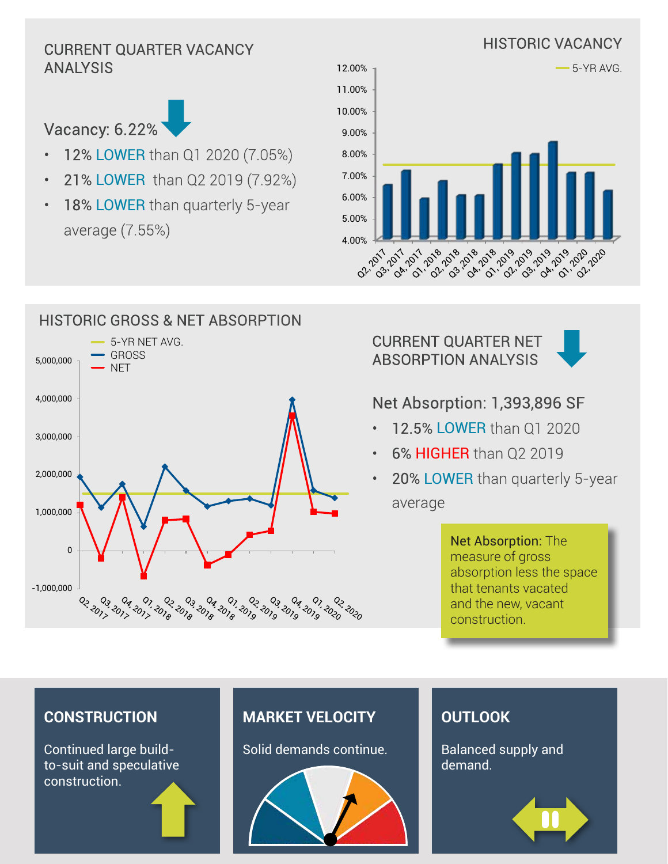# ANALYSIS



- 12% LOWER than Q1 2020 (7.05%)
- 21% LOWER than Q2 2019 (7.92%)
- 18% LOWER than quarterly 5-year average (7.55%)



# HISTORIC GROSS & NET ABSORPTION 5-YR NET AVG. GROSS 5,000,000 **NET** 4,000,000 3,000,000 2,000,000 1,000,000 0 -1,000,000 02.2017 01, 2020 .<br>دی لوی وروی وروی وروی فروی فراوی فراوی فروی در دی<br>دی لوی فن فنی فنی دن دن لوی فنی فنی فنی در ום בם בם<br>גום בים בם

#### CURRENT QUARTER NET ABSORPTION ANALYSIS



# Net Absorption: 1,393,896 SF

- 12.5% LOWER than Q1 2020
- 6% **HIGHER** than Q2 2019
- 20% LOWER than quarterly 5-year average

Net Absorption: The measure of gross absorption less the space that tenants vacated and the new, vacant construction.

#### **CONSTRUCTION**

Continued large buildto-suit and speculative construction.

### **MARKET VELOCITY**

Solid demands continue.



#### **OUTLOOK**

Balanced supply and demand.